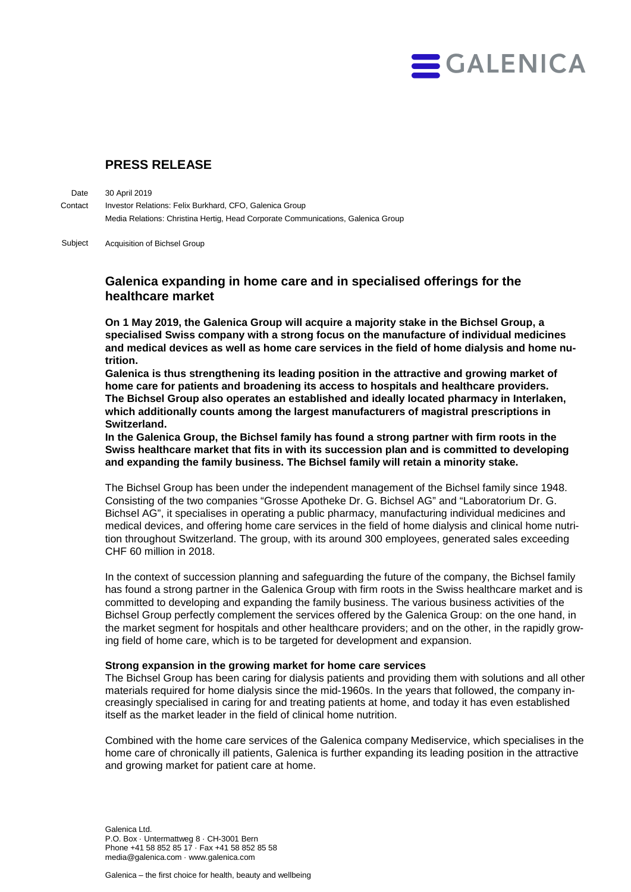

# **PRESS RELEASE**

30 April 2019 Investor Relations: Felix Burkhard, CFO, Galenica Group Media Relations: Christina Hertig, Head Corporate Communications, Galenica Group **Date Contact** 

Acquisition of Bichsel Group Subject

## **Galenica expanding in home care and in specialised offerings for the healthcare market**

**On 1 May 2019, the Galenica Group will acquire a majority stake in the Bichsel Group, a specialised Swiss company with a strong focus on the manufacture of individual medicines and medical devices as well as home care services in the field of home dialysis and home nutrition.** 

**Galenica is thus strengthening its leading position in the attractive and growing market of home care for patients and broadening its access to hospitals and healthcare providers. The Bichsel Group also operates an established and ideally located pharmacy in Interlaken, which additionally counts among the largest manufacturers of magistral prescriptions in Switzerland.**

**In the Galenica Group, the Bichsel family has found a strong partner with firm roots in the Swiss healthcare market that fits in with its succession plan and is committed to developing and expanding the family business. The Bichsel family will retain a minority stake.**

The Bichsel Group has been under the independent management of the Bichsel family since 1948. Consisting of the two companies "Grosse Apotheke Dr. G. Bichsel AG" and "Laboratorium Dr. G. Bichsel AG", it specialises in operating a public pharmacy, manufacturing individual medicines and medical devices, and offering home care services in the field of home dialysis and clinical home nutrition throughout Switzerland. The group, with its around 300 employees, generated sales exceeding CHF 60 million in 2018.

In the context of succession planning and safeguarding the future of the company, the Bichsel family has found a strong partner in the Galenica Group with firm roots in the Swiss healthcare market and is committed to developing and expanding the family business. The various business activities of the Bichsel Group perfectly complement the services offered by the Galenica Group: on the one hand, in the market segment for hospitals and other healthcare providers; and on the other, in the rapidly growing field of home care, which is to be targeted for development and expansion.

#### **Strong expansion in the growing market for home care services**

The Bichsel Group has been caring for dialysis patients and providing them with solutions and all other materials required for home dialysis since the mid-1960s. In the years that followed, the company increasingly specialised in caring for and treating patients at home, and today it has even established itself as the market leader in the field of clinical home nutrition.

Combined with the home care services of the Galenica company Mediservice, which specialises in the home care of chronically ill patients, Galenica is further expanding its leading position in the attractive and growing market for patient care at home.

Galenica Ltd. P.O. Box · Untermattweg 8 · CH-3001 Bern Phone +41 58 852 85 17 · Fax +41 58 852 85 58 media@galenica.com · www.galenica.com

Galenica – the first choice for health, beauty and wellbeing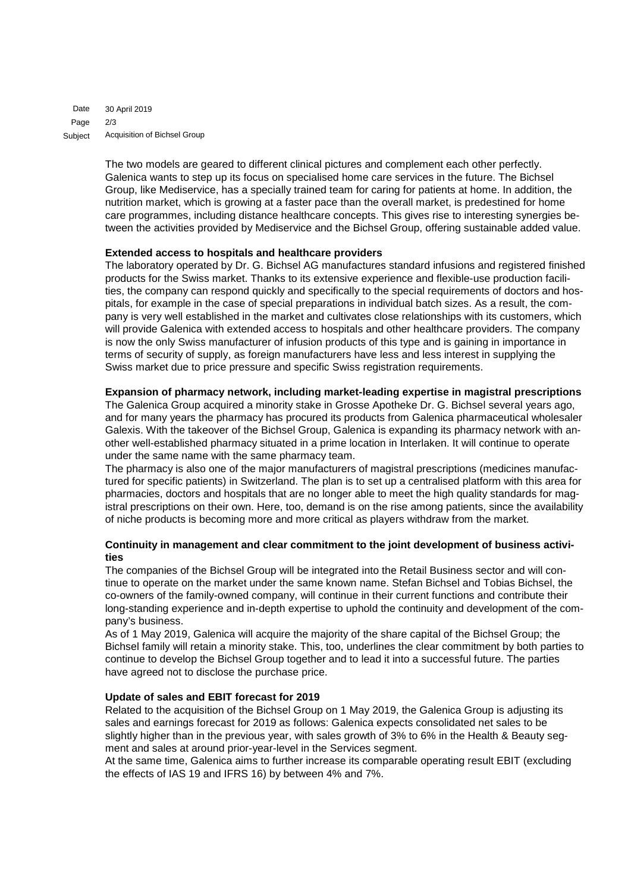30 April 2019 2/3 Acquisition of Bichsel Group Date Page Subject

> The two models are geared to different clinical pictures and complement each other perfectly. Galenica wants to step up its focus on specialised home care services in the future. The Bichsel Group, like Mediservice, has a specially trained team for caring for patients at home. In addition, the nutrition market, which is growing at a faster pace than the overall market, is predestined for home care programmes, including distance healthcare concepts. This gives rise to interesting synergies between the activities provided by Mediservice and the Bichsel Group, offering sustainable added value.

#### **Extended access to hospitals and healthcare providers**

The laboratory operated by Dr. G. Bichsel AG manufactures standard infusions and registered finished products for the Swiss market. Thanks to its extensive experience and flexible-use production facilities, the company can respond quickly and specifically to the special requirements of doctors and hospitals, for example in the case of special preparations in individual batch sizes. As a result, the company is very well established in the market and cultivates close relationships with its customers, which will provide Galenica with extended access to hospitals and other healthcare providers. The company is now the only Swiss manufacturer of infusion products of this type and is gaining in importance in terms of security of supply, as foreign manufacturers have less and less interest in supplying the Swiss market due to price pressure and specific Swiss registration requirements.

#### **Expansion of pharmacy network, including market-leading expertise in magistral prescriptions**

The Galenica Group acquired a minority stake in Grosse Apotheke Dr. G. Bichsel several years ago, and for many years the pharmacy has procured its products from Galenica pharmaceutical wholesaler Galexis. With the takeover of the Bichsel Group, Galenica is expanding its pharmacy network with another well-established pharmacy situated in a prime location in Interlaken. It will continue to operate under the same name with the same pharmacy team.

The pharmacy is also one of the major manufacturers of magistral prescriptions (medicines manufactured for specific patients) in Switzerland. The plan is to set up a centralised platform with this area for pharmacies, doctors and hospitals that are no longer able to meet the high quality standards for magistral prescriptions on their own. Here, too, demand is on the rise among patients, since the availability of niche products is becoming more and more critical as players withdraw from the market.

### **Continuity in management and clear commitment to the joint development of business activities**

The companies of the Bichsel Group will be integrated into the Retail Business sector and will continue to operate on the market under the same known name. Stefan Bichsel and Tobias Bichsel, the co-owners of the family-owned company, will continue in their current functions and contribute their long-standing experience and in-depth expertise to uphold the continuity and development of the company's business.

As of 1 May 2019, Galenica will acquire the majority of the share capital of the Bichsel Group; the Bichsel family will retain a minority stake. This, too, underlines the clear commitment by both parties to continue to develop the Bichsel Group together and to lead it into a successful future. The parties have agreed not to disclose the purchase price.

#### **Update of sales and EBIT forecast for 2019**

Related to the acquisition of the Bichsel Group on 1 May 2019, the Galenica Group is adjusting its sales and earnings forecast for 2019 as follows: Galenica expects consolidated net sales to be slightly higher than in the previous year, with sales growth of 3% to 6% in the Health & Beauty segment and sales at around prior-year-level in the Services segment.

At the same time, Galenica aims to further increase its comparable operating result EBIT (excluding the effects of IAS 19 and IFRS 16) by between 4% and 7%.